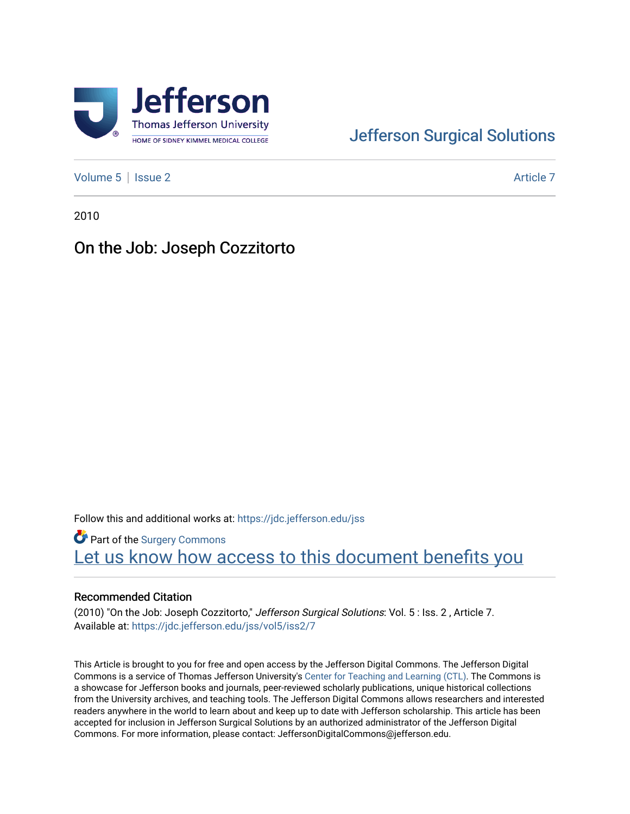

# [Jefferson Surgical Solutions](https://jdc.jefferson.edu/jss)

[Volume 5](https://jdc.jefferson.edu/jss/vol5) | [Issue 2](https://jdc.jefferson.edu/jss/vol5/iss2) Article 7

2010

# On the Job: Joseph Cozzitorto

Follow this and additional works at: [https://jdc.jefferson.edu/jss](https://jdc.jefferson.edu/jss?utm_source=jdc.jefferson.edu%2Fjss%2Fvol5%2Fiss2%2F7&utm_medium=PDF&utm_campaign=PDFCoverPages) 

Part of the [Surgery Commons](http://network.bepress.com/hgg/discipline/706?utm_source=jdc.jefferson.edu%2Fjss%2Fvol5%2Fiss2%2F7&utm_medium=PDF&utm_campaign=PDFCoverPages)  Let us know how access to this document benefits you

#### Recommended Citation

(2010) "On the Job: Joseph Cozzitorto," Jefferson Surgical Solutions: Vol. 5 : Iss. 2 , Article 7. Available at: [https://jdc.jefferson.edu/jss/vol5/iss2/7](https://jdc.jefferson.edu/jss/vol5/iss2/7?utm_source=jdc.jefferson.edu%2Fjss%2Fvol5%2Fiss2%2F7&utm_medium=PDF&utm_campaign=PDFCoverPages) 

This Article is brought to you for free and open access by the Jefferson Digital Commons. The Jefferson Digital Commons is a service of Thomas Jefferson University's [Center for Teaching and Learning \(CTL\)](http://www.jefferson.edu/university/teaching-learning.html/). The Commons is a showcase for Jefferson books and journals, peer-reviewed scholarly publications, unique historical collections from the University archives, and teaching tools. The Jefferson Digital Commons allows researchers and interested readers anywhere in the world to learn about and keep up to date with Jefferson scholarship. This article has been accepted for inclusion in Jefferson Surgical Solutions by an authorized administrator of the Jefferson Digital Commons. For more information, please contact: JeffersonDigitalCommons@jefferson.edu.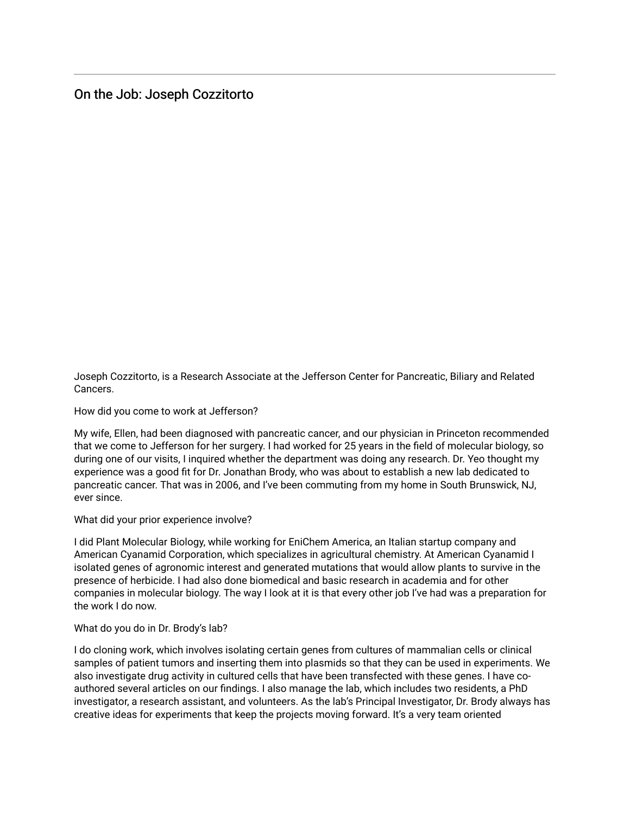## On the Job: Joseph Cozzitorto

Joseph Cozzitorto, is a Research Associate at the Jefferson Center for Pancreatic, Biliary and Related Cancers.

How did you come to work at Jefferson?

My wife, Ellen, had been diagnosed with pancreatic cancer, and our physician in Princeton recommended that we come to Jefferson for her surgery. I had worked for 25 years in the field of molecular biology, so during one of our visits, I inquired whether the department was doing any research. Dr. Yeo thought my experience was a good fit for Dr. Jonathan Brody, who was about to establish a new lab dedicated to pancreatic cancer. That was in 2006, and I've been commuting from my home in South Brunswick, NJ, ever since.

What did your prior experience involve?

I did Plant Molecular Biology, while working for EniChem America, an Italian startup company and American Cyanamid Corporation, which specializes in agricultural chemistry. At American Cyanamid I isolated genes of agronomic interest and generated mutations that would allow plants to survive in the presence of herbicide. I had also done biomedical and basic research in academia and for other companies in molecular biology. The way I look at it is that every other job I've had was a preparation for the work I do now.

#### What do you do in Dr. Brody's lab?

I do cloning work, which involves isolating certain genes from cultures of mammalian cells or clinical samples of patient tumors and inserting them into plasmids so that they can be used in experiments. We also investigate drug activity in cultured cells that have been transfected with these genes. I have coauthored several articles on our findings. I also manage the lab, which includes two residents, a PhD investigator, a research assistant, and volunteers. As the lab's Principal Investigator, Dr. Brody always has creative ideas for experiments that keep the projects moving forward. It's a very team oriented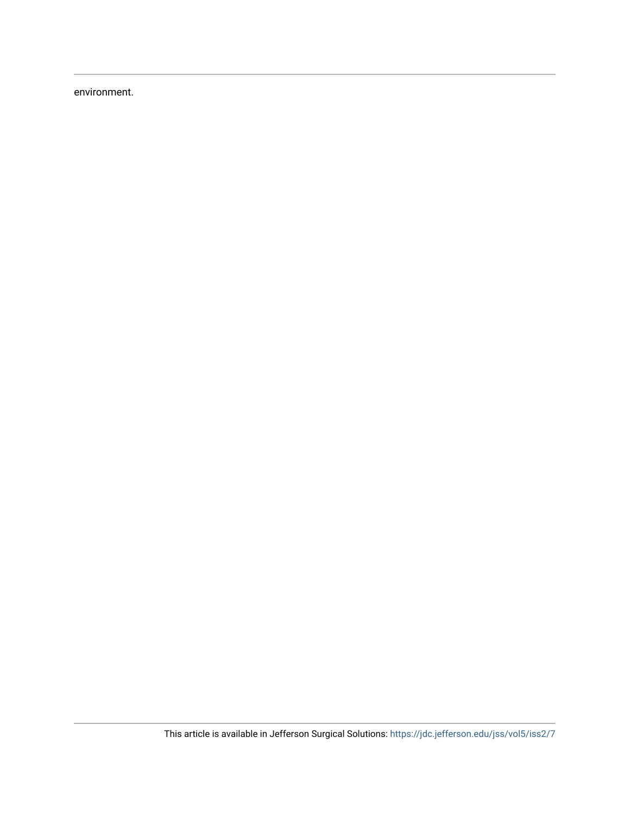environment.